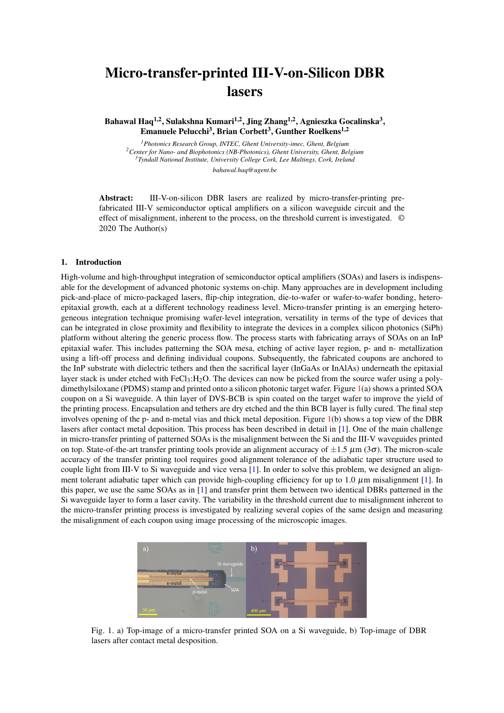## Micro-transfer-printed III-V-on-Silicon DBR lasers

Bahawal Haq<sup>1,2</sup>, Sulakshna Kumari<sup>1,2</sup>, Jing Zhang<sup>1,2</sup>, Agnieszka Gocalinska<sup>3</sup>, Emanuele Pelucchi<sup>3</sup>, Brian Corbett<sup>3</sup>, Gunther Roelkens<sup>1,2</sup>

*Photonics Research Group, INTEC, Ghent University-imec, Ghent, Belgium Center for Nano- and Biophotonics (NB-Photonics), Ghent University, Ghent, Belgium Tyndall National Institute, University College Cork, Lee Maltings, Cork, Ireland bahawal.haq@ugent.be*

Abstract: III-V-on-silicon DBR lasers are realized by micro-transfer-printing prefabricated III-V semiconductor optical amplifiers on a silicon waveguide circuit and the effect of misalignment, inherent to the process, on the threshold current is investigated. © 2020 The Author(s)

## 1. Introduction

High-volume and high-throughput integration of semiconductor optical amplifiers (SOAs) and lasers is indispensable for the development of advanced photonic systems on-chip. Many approaches are in development including pick-and-place of micro-packaged lasers, flip-chip integration, die-to-wafer or wafer-to-wafer bonding, heteroepitaxial growth, each at a different technology readiness level. Micro-transfer printing is an emerging heterogeneous integration technique promising wafer-level integration, versatility in terms of the type of devices that can be integrated in close proximity and flexibility to integrate the devices in a complex silicon photonics (SiPh) platform without altering the generic process flow. The process starts with fabricating arrays of SOAs on an InP epitaxial wafer. This includes patterning the SOA mesa, etching of active layer region, p- and n- metallization using a lift-off process and defining individual coupons. Subsequently, the fabricated coupons are anchored to the InP substrate with dielectric tethers and then the sacrifical layer (InGaAs or InAlAs) underneath the epitaxial layer stack is under etched with  $FeCl<sub>3</sub>:H<sub>2</sub>O$ . The devices can now be picked from the source wafer using a polydimethylsiloxane (PDMS) stamp and printed onto a silicon photonic target wafer. Figure [1\(](#page-0-0)a) shows a printed SOA coupon on a Si waveguide. A thin layer of DVS-BCB is spin coated on the target wafer to improve the yield of the printing process. Encapsulation and tethers are dry etched and the thin BCB layer is fully cured. The final step involves opening of the p- and n-metal vias and thick metal deposition. Figure [1\(](#page-0-0)b) shows a top view of the DBR lasers after contact metal deposition. This process has been described in detail in [\[1\]](#page-1-0). One of the main challenge in micro-transfer printing of patterned SOAs is the misalignment between the Si and the III-V waveguides printed on top. State-of-the-art transfer printing tools provide an alignment accuracy of  $\pm 1.5 \mu$ m (3 $\sigma$ ). The micron-scale accuracy of the transfer printing tool requires good alignment tolerance of the adiabatic taper structure used to couple light from III-V to Si waveguide and vice versa [\[1\]](#page-1-0). In order to solve this problem, we designed an alignment tolerant adiabatic taper which can provide high-coupling efficiency for up to 1.0  $\mu$ m misalignment [\[1\]](#page-1-0). In this paper, we use the same SOAs as in [\[1\]](#page-1-0) and transfer print them between two identical DBRs patterned in the Si waveguide layer to form a laser cavity. The variability in the threshold current due to misalignment inherent to the micro-transfer printing process is investigated by realizing several copies of the same design and measuring the misalignment of each coupon using image processing of the microscopic images.



<span id="page-0-0"></span>Fig. 1. a) Top-image of a micro-transfer printed SOA on a Si waveguide, b) Top-image of DBR lasers after contact metal desposition.